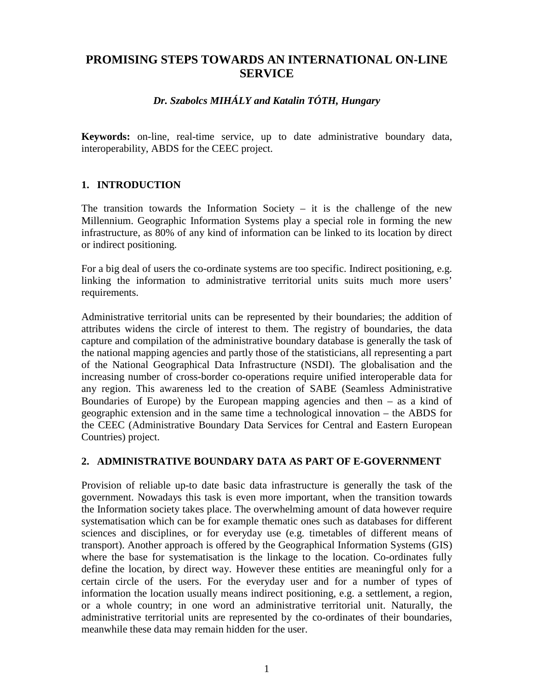# **PROMISING STEPS TOWARDS AN INTERNATIONAL ON-LINE SERVICE**

## *Dr. Szabolcs MIHÁLY and Katalin TÓTH, Hungary*

**Keywords:** on-line, real-time service, up to date administrative boundary data, interoperability, ABDS for the CEEC project.

### **1. INTRODUCTION**

The transition towards the Information Society – it is the challenge of the new Millennium. Geographic Information Systems play a special role in forming the new infrastructure, as 80% of any kind of information can be linked to its location by direct or indirect positioning.

For a big deal of users the co-ordinate systems are too specific. Indirect positioning, e.g. linking the information to administrative territorial units suits much more users' requirements.

Administrative territorial units can be represented by their boundaries; the addition of attributes widens the circle of interest to them. The registry of boundaries, the data capture and compilation of the administrative boundary database is generally the task of the national mapping agencies and partly those of the statisticians, all representing a part of the National Geographical Data Infrastructure (NSDI). The globalisation and the increasing number of cross-border co-operations require unified interoperable data for any region. This awareness led to the creation of SABE (Seamless Administrative Boundaries of Europe) by the European mapping agencies and then  $-$  as a kind of geographic extension and in the same time a technological innovation – the ABDS for the CEEC (Administrative Boundary Data Services for Central and Eastern European Countries) project.

### **2. ADMINISTRATIVE BOUNDARY DATA AS PART OF E-GOVERNMENT**

Provision of reliable up-to date basic data infrastructure is generally the task of the government. Nowadays this task is even more important, when the transition towards the Information society takes place. The overwhelming amount of data however require systematisation which can be for example thematic ones such as databases for different sciences and disciplines, or for everyday use (e.g. timetables of different means of transport). Another approach is offered by the Geographical Information Systems (GIS) where the base for systematisation is the linkage to the location. Co-ordinates fully define the location, by direct way. However these entities are meaningful only for a certain circle of the users. For the everyday user and for a number of types of information the location usually means indirect positioning, e.g. a settlement, a region, or a whole country; in one word an administrative territorial unit. Naturally, the administrative territorial units are represented by the co-ordinates of their boundaries, meanwhile these data may remain hidden for the user.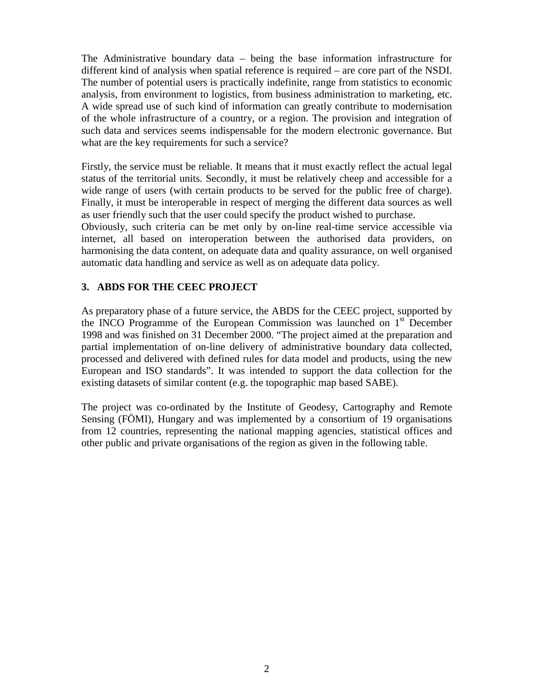The Administrative boundary data – being the base information infrastructure for different kind of analysis when spatial reference is required – are core part of the NSDI. The number of potential users is practically indefinite, range from statistics to economic analysis, from environment to logistics, from business administration to marketing, etc. A wide spread use of such kind of information can greatly contribute to modernisation of the whole infrastructure of a country, or a region. The provision and integration of such data and services seems indispensable for the modern electronic governance. But what are the key requirements for such a service?

Firstly, the service must be reliable. It means that it must exactly reflect the actual legal status of the territorial units. Secondly, it must be relatively cheep and accessible for a wide range of users (with certain products to be served for the public free of charge). Finally, it must be interoperable in respect of merging the different data sources as well as user friendly such that the user could specify the product wished to purchase.

Obviously, such criteria can be met only by on-line real-time service accessible via internet, all based on interoperation between the authorised data providers, on harmonising the data content, on adequate data and quality assurance, on well organised automatic data handling and service as well as on adequate data policy.

### **3. ABDS FOR THE CEEC PROJECT**

As preparatory phase of a future service, the ABDS for the CEEC project, supported by the INCO Programme of the European Commission was launched on  $1<sup>st</sup>$  December 1998 and was finished on 31 December 2000. "The project aimed at the preparation and partial implementation of on-line delivery of administrative boundary data collected, processed and delivered with defined rules for data model and products, using the new European and ISO standards". It was intended to support the data collection for the existing datasets of similar content (e.g. the topographic map based SABE).

The project was co-ordinated by the Institute of Geodesy, Cartography and Remote Sensing (FÖMI), Hungary and was implemented by a consortium of 19 organisations from 12 countries, representing the national mapping agencies, statistical offices and other public and private organisations of the region as given in the following table.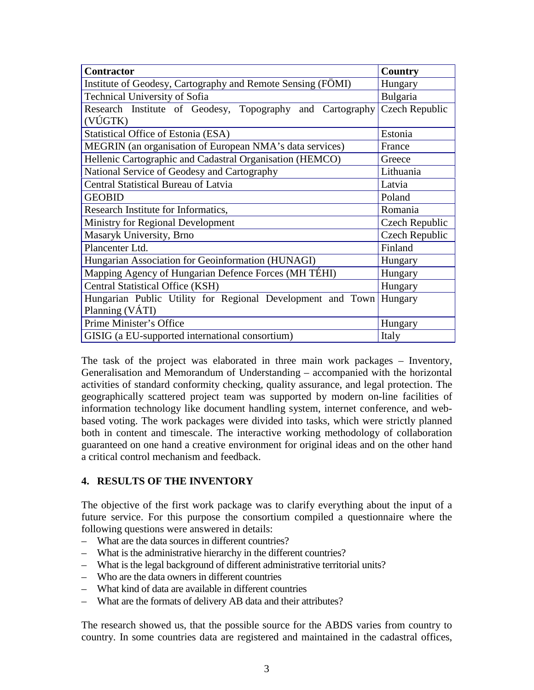| <b>Contractor</b>                                                  | <b>Country</b> |
|--------------------------------------------------------------------|----------------|
| Institute of Geodesy, Cartography and Remote Sensing (FÖMI)        | Hungary        |
| Technical University of Sofia                                      | Bulgaria       |
| Research Institute of Geodesy, Topography and Cartography          | Czech Republic |
| (VÚGTK)                                                            |                |
| Statistical Office of Estonia (ESA)                                | Estonia        |
| MEGRIN (an organisation of European NMA's data services)           | France         |
| Hellenic Cartographic and Cadastral Organisation (HEMCO)           | Greece         |
| National Service of Geodesy and Cartography                        | Lithuania      |
| Central Statistical Bureau of Latvia                               | Latvia         |
| <b>GEOBID</b>                                                      | Poland         |
| Research Institute for Informatics,                                | Romania        |
| Ministry for Regional Development                                  | Czech Republic |
| Masaryk University, Brno                                           | Czech Republic |
| Plancenter Ltd.                                                    | Finland        |
| Hungarian Association for Geoinformation (HUNAGI)                  | Hungary        |
| Mapping Agency of Hungarian Defence Forces (MH TÉHI)               | Hungary        |
| Central Statistical Office (KSH)                                   | Hungary        |
| Hungarian Public Utility for Regional Development and Town Hungary |                |
| Planning (VÁTI)                                                    |                |
| Prime Minister's Office                                            | Hungary        |
| GISIG (a EU-supported international consortium)                    | Italy          |

The task of the project was elaborated in three main work packages – Inventory, Generalisation and Memorandum of Understanding – accompanied with the horizontal activities of standard conformity checking, quality assurance, and legal protection. The geographically scattered project team was supported by modern on-line facilities of information technology like document handling system, internet conference, and webbased voting. The work packages were divided into tasks, which were strictly planned both in content and timescale. The interactive working methodology of collaboration guaranteed on one hand a creative environment for original ideas and on the other hand a critical control mechanism and feedback.

### **4. RESULTS OF THE INVENTORY**

The objective of the first work package was to clarify everything about the input of a future service. For this purpose the consortium compiled a questionnaire where the following questions were answered in details:

- What are the data sources in different countries?
- What is the administrative hierarchy in the different countries?
- What is the legal background of different administrative territorial units?
- Who are the data owners in different countries
- What kind of data are available in different countries
- What are the formats of delivery AB data and their attributes?

The research showed us, that the possible source for the ABDS varies from country to country. In some countries data are registered and maintained in the cadastral offices,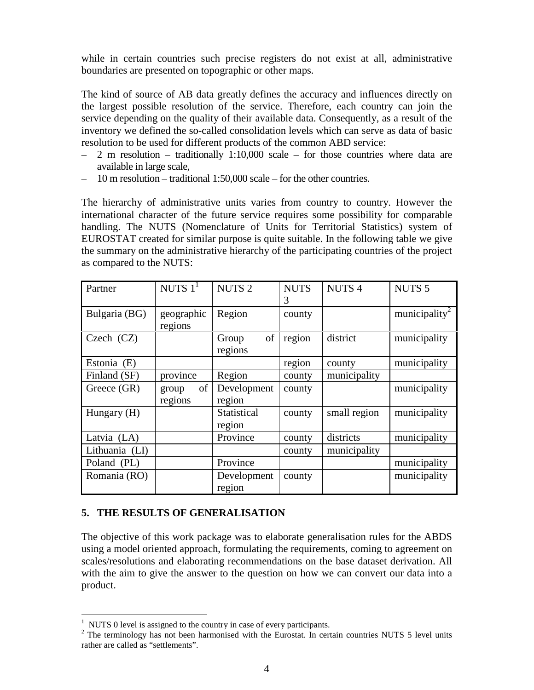while in certain countries such precise registers do not exist at all, administrative boundaries are presented on topographic or other maps.

The kind of source of AB data greatly defines the accuracy and influences directly on the largest possible resolution of the service. Therefore, each country can join the service depending on the quality of their available data. Consequently, as a result of the inventory we defined the so-called consolidation levels which can serve as data of basic resolution to be used for different products of the common ABD service:

- $-2$  m resolution traditionally 1:10,000 scale for those countries where data are available in large scale,
- 10 m resolution traditional 1:50,000 scale for the other countries.

The hierarchy of administrative units varies from country to country. However the international character of the future service requires some possibility for comparable handling. The NUTS (Nomenclature of Units for Territorial Statistics) system of EUROSTAT created for similar purpose is quite suitable. In the following table we give the summary on the administrative hierarchy of the participating countries of the project as compared to the NUTS:

| Partner        | NUTS $11$   | <b>NUTS 2</b> | <b>NUTS</b> | <b>NUTS4</b> | NUTS <sub>5</sub>         |
|----------------|-------------|---------------|-------------|--------------|---------------------------|
|                |             |               | 3           |              |                           |
| Bulgaria (BG)  | geographic  | Region        | county      |              | municipality <sup>2</sup> |
|                | regions     |               |             |              |                           |
| Czech $(CZ)$   |             | of<br>Group   | region      | district     | municipality              |
|                |             | regions       |             |              |                           |
| Estonia (E)    |             |               | region      | county       | municipality              |
| Finland (SF)   | province    | Region        | county      | municipality |                           |
| Greece (GR)    | of<br>group | Development   | county      |              | municipality              |
|                | regions     | region        |             |              |                           |
| Hungary (H)    |             | Statistical   | county      | small region | municipality              |
|                |             | region        |             |              |                           |
| Latvia (LA)    |             | Province      | county      | districts    | municipality              |
| Lithuania (LI) |             |               | county      | municipality |                           |
| Poland (PL)    |             | Province      |             |              | municipality              |
| Romania (RO)   |             | Development   | county      |              | municipality              |
|                |             | region        |             |              |                           |

#### **5. THE RESULTS OF GENERALISATION**

 $\overline{a}$ 

The objective of this work package was to elaborate generalisation rules for the ABDS using a model oriented approach, formulating the requirements, coming to agreement on scales/resolutions and elaborating recommendations on the base dataset derivation. All with the aim to give the answer to the question on how we can convert our data into a product.

 $1$  NUTS 0 level is assigned to the country in case of every participants.

 $2$  The terminology has not been harmonised with the Eurostat. In certain countries NUTS 5 level units rather are called as "settlements".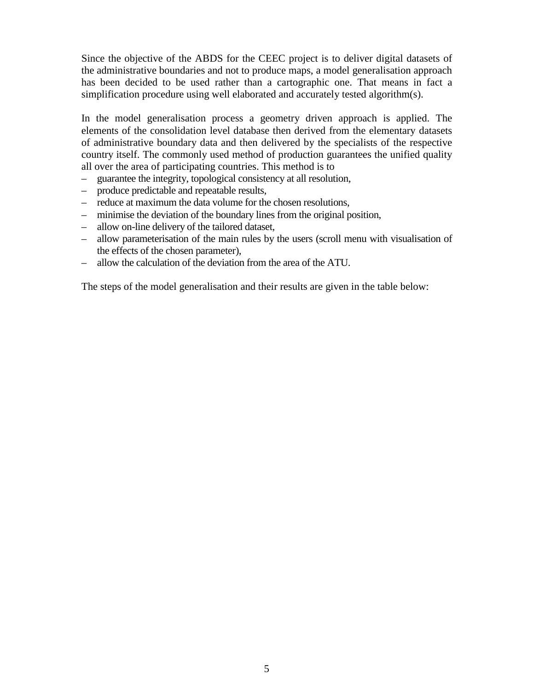Since the objective of the ABDS for the CEEC project is to deliver digital datasets of the administrative boundaries and not to produce maps, a model generalisation approach has been decided to be used rather than a cartographic one. That means in fact a simplification procedure using well elaborated and accurately tested algorithm(s).

In the model generalisation process a geometry driven approach is applied. The elements of the consolidation level database then derived from the elementary datasets of administrative boundary data and then delivered by the specialists of the respective country itself. The commonly used method of production guarantees the unified quality all over the area of participating countries. This method is to

- guarantee the integrity, topological consistency at all resolution,
- produce predictable and repeatable results,
- reduce at maximum the data volume for the chosen resolutions,
- minimise the deviation of the boundary lines from the original position,
- allow on-line delivery of the tailored dataset,
- allow parameterisation of the main rules by the users (scroll menu with visualisation of the effects of the chosen parameter),
- allow the calculation of the deviation from the area of the ATU.

The steps of the model generalisation and their results are given in the table below: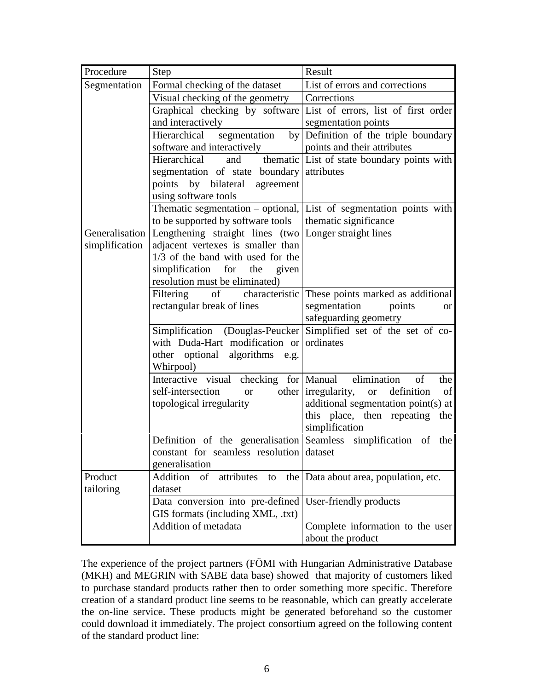| Procedure      | <b>Step</b>                                                           | Result                                                                                                                                     |  |  |
|----------------|-----------------------------------------------------------------------|--------------------------------------------------------------------------------------------------------------------------------------------|--|--|
| Segmentation   | Formal checking of the dataset                                        | List of errors and corrections<br>Corrections                                                                                              |  |  |
|                | Visual checking of the geometry                                       |                                                                                                                                            |  |  |
|                | Graphical checking by software                                        | List of errors, list of first order                                                                                                        |  |  |
|                | and interactively                                                     | segmentation points<br>Definition of the triple boundary<br>points and their attributes<br>and thematic List of state boundary points with |  |  |
|                | Hierarchical segmentation<br>by                                       |                                                                                                                                            |  |  |
|                | software and interactively                                            |                                                                                                                                            |  |  |
|                | Hierarchical                                                          |                                                                                                                                            |  |  |
|                | segmentation of state boundary                                        | attributes                                                                                                                                 |  |  |
|                | points by bilateral agreement                                         |                                                                                                                                            |  |  |
|                | using software tools                                                  |                                                                                                                                            |  |  |
|                |                                                                       | Thematic segmentation $-$ optional, List of segmentation points with                                                                       |  |  |
|                | to be supported by software tools                                     | thematic significance                                                                                                                      |  |  |
| Generalisation | Lengthening straight lines (two Longer straight lines                 |                                                                                                                                            |  |  |
| simplification | adjacent vertexes is smaller than                                     |                                                                                                                                            |  |  |
|                | 1/3 of the band with used for the                                     |                                                                                                                                            |  |  |
|                | simplification for the given<br>resolution must be eliminated)        |                                                                                                                                            |  |  |
|                |                                                                       | Filtering of characteristic These points marked as additional                                                                              |  |  |
|                | rectangular break of lines                                            | segmentation points<br>or                                                                                                                  |  |  |
|                |                                                                       | safeguarding geometry                                                                                                                      |  |  |
|                | Simplification (Douglas-Peucker                                       | Simplified set of the set of co-                                                                                                           |  |  |
|                | with Duda-Hart modification or                                        | ordinates                                                                                                                                  |  |  |
|                | other optional algorithms e.g.                                        |                                                                                                                                            |  |  |
|                | Whirpool)                                                             |                                                                                                                                            |  |  |
|                | Interactive visual checking for   Manual elimination                  | of<br>the                                                                                                                                  |  |  |
|                | self-intersection<br><b>or</b>                                        | other irregularity,<br>of<br>definition<br><sub>or</sub>                                                                                   |  |  |
|                | topological irregularity                                              | additional segmentation point(s) at                                                                                                        |  |  |
|                |                                                                       | this place, then repeating the                                                                                                             |  |  |
|                |                                                                       | simplification                                                                                                                             |  |  |
|                | Definition of the generalisation Seamless simplification of           | the                                                                                                                                        |  |  |
|                | constant for seamless resolution dataset                              |                                                                                                                                            |  |  |
|                | generalisation                                                        |                                                                                                                                            |  |  |
| Product        | Addition<br>attributes<br>of<br>the<br>to                             | Data about area, population, etc.                                                                                                          |  |  |
| tailoring      | dataset                                                               |                                                                                                                                            |  |  |
|                | Data conversion into pre-defined<br>GIS formats (including XML, .txt) | User-friendly products                                                                                                                     |  |  |
|                | Addition of metadata                                                  | Complete information to the user                                                                                                           |  |  |
|                |                                                                       | about the product                                                                                                                          |  |  |
|                |                                                                       |                                                                                                                                            |  |  |

The experience of the project partners (FÖMI with Hungarian Administrative Database (MKH) and MEGRIN with SABE data base) showed that majority of customers liked to purchase standard products rather then to order something more specific. Therefore creation of a standard product line seems to be reasonable, which can greatly accelerate the on-line service. These products might be generated beforehand so the customer could download it immediately. The project consortium agreed on the following content of the standard product line: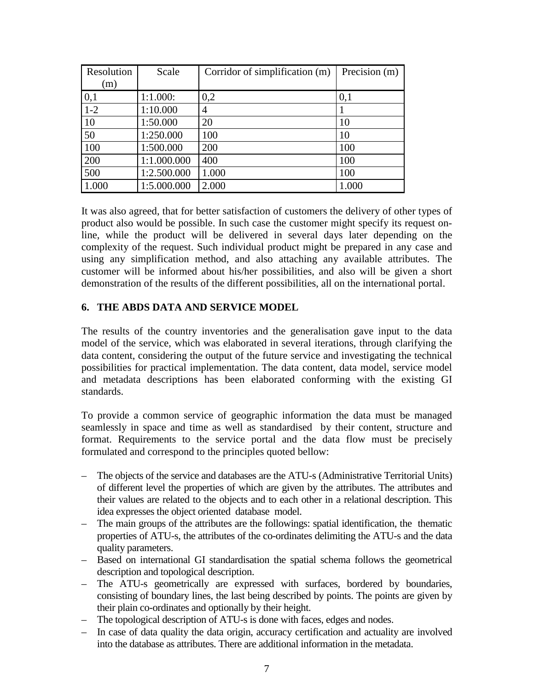| Resolution | Scale       | Corridor of simplification (m) | Precision (m) |
|------------|-------------|--------------------------------|---------------|
| (m)        |             |                                |               |
| 0,1        | 1:1.000:    | 0,2                            | 0,1           |
| $1 - 2$    | 1:10.000    | 4                              |               |
| 10         | 1:50.000    | 20                             | 10            |
| 50         | 1:250.000   | 100                            | 10            |
| 100        | 1:500.000   | 200                            | 100           |
| 200        | 1:1.000.000 | 400                            | 100           |
| 500        | 1:2.500.000 | 1.000                          | 100           |
| 1.000      | 1:5.000.000 | 2.000                          | 1.000         |

It was also agreed, that for better satisfaction of customers the delivery of other types of product also would be possible. In such case the customer might specify its request online, while the product will be delivered in several days later depending on the complexity of the request. Such individual product might be prepared in any case and using any simplification method, and also attaching any available attributes. The customer will be informed about his/her possibilities, and also will be given a short demonstration of the results of the different possibilities, all on the international portal.

### **6. THE ABDS DATA AND SERVICE MODEL**

The results of the country inventories and the generalisation gave input to the data model of the service, which was elaborated in several iterations, through clarifying the data content, considering the output of the future service and investigating the technical possibilities for practical implementation. The data content, data model, service model and metadata descriptions has been elaborated conforming with the existing GI standards.

To provide a common service of geographic information the data must be managed seamlessly in space and time as well as standardised by their content, structure and format. Requirements to the service portal and the data flow must be precisely formulated and correspond to the principles quoted bellow:

- The objects of the service and databases are the ATU-s (Administrative Territorial Units) of different level the properties of which are given by the attributes. The attributes and their values are related to the objects and to each other in a relational description. This idea expresses the object oriented database model.
- The main groups of the attributes are the followings: spatial identification, the thematic properties of ATU-s, the attributes of the co-ordinates delimiting the ATU-s and the data quality parameters.
- Based on international GI standardisation the spatial schema follows the geometrical description and topological description.
- The ATU-s geometrically are expressed with surfaces, bordered by boundaries, consisting of boundary lines, the last being described by points. The points are given by their plain co-ordinates and optionally by their height.
- The topological description of ATU-s is done with faces, edges and nodes.
- In case of data quality the data origin, accuracy certification and actuality are involved into the database as attributes. There are additional information in the metadata.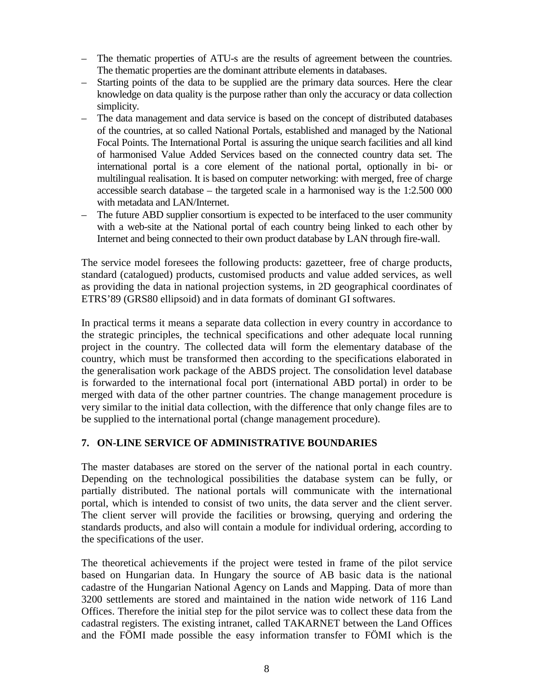- The thematic properties of ATU-s are the results of agreement between the countries. The thematic properties are the dominant attribute elements in databases.
- Starting points of the data to be supplied are the primary data sources. Here the clear knowledge on data quality is the purpose rather than only the accuracy or data collection simplicity.
- The data management and data service is based on the concept of distributed databases of the countries, at so called National Portals, established and managed by the National Focal Points. The International Portal is assuring the unique search facilities and all kind of harmonised Value Added Services based on the connected country data set. The international portal is a core element of the national portal, optionally in bi- or multilingual realisation. It is based on computer networking: with merged, free of charge accessible search database – the targeted scale in a harmonised way is the 1:2.500 000 with metadata and LAN/Internet.
- The future ABD supplier consortium is expected to be interfaced to the user community with a web-site at the National portal of each country being linked to each other by Internet and being connected to their own product database by LAN through fire-wall.

The service model foresees the following products: gazetteer, free of charge products, standard (catalogued) products, customised products and value added services, as well as providing the data in national projection systems, in 2D geographical coordinates of ETRS'89 (GRS80 ellipsoid) and in data formats of dominant GI softwares.

In practical terms it means a separate data collection in every country in accordance to the strategic principles, the technical specifications and other adequate local running project in the country. The collected data will form the elementary database of the country, which must be transformed then according to the specifications elaborated in the generalisation work package of the ABDS project. The consolidation level database is forwarded to the international focal port (international ABD portal) in order to be merged with data of the other partner countries. The change management procedure is very similar to the initial data collection, with the difference that only change files are to be supplied to the international portal (change management procedure).

### **7. ON-LINE SERVICE OF ADMINISTRATIVE BOUNDARIES**

The master databases are stored on the server of the national portal in each country. Depending on the technological possibilities the database system can be fully, or partially distributed. The national portals will communicate with the international portal, which is intended to consist of two units, the data server and the client server. The client server will provide the facilities or browsing, querying and ordering the standards products, and also will contain a module for individual ordering, according to the specifications of the user.

The theoretical achievements if the project were tested in frame of the pilot service based on Hungarian data. In Hungary the source of AB basic data is the national cadastre of the Hungarian National Agency on Lands and Mapping. Data of more than 3200 settlements are stored and maintained in the nation wide network of 116 Land Offices. Therefore the initial step for the pilot service was to collect these data from the cadastral registers. The existing intranet, called TAKARNET between the Land Offices and the FÖMI made possible the easy information transfer to FÖMI which is the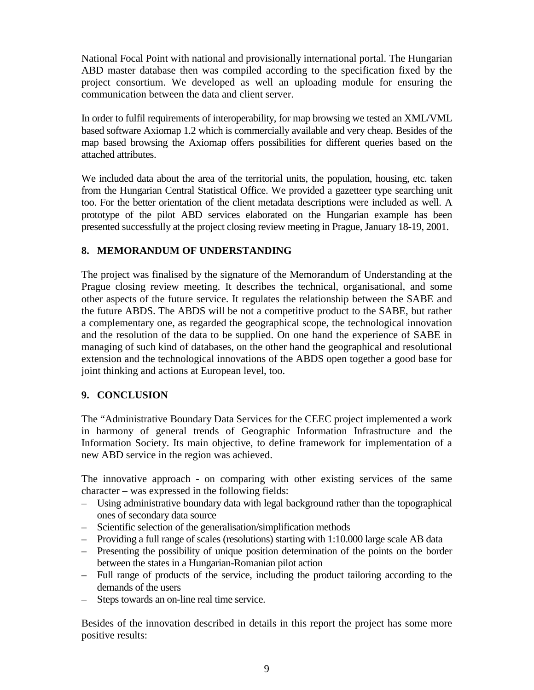National Focal Point with national and provisionally international portal. The Hungarian ABD master database then was compiled according to the specification fixed by the project consortium. We developed as well an uploading module for ensuring the communication between the data and client server.

In order to fulfil requirements of interoperability, for map browsing we tested an XML/VML based software Axiomap 1.2 which is commercially available and very cheap. Besides of the map based browsing the Axiomap offers possibilities for different queries based on the attached attributes.

We included data about the area of the territorial units, the population, housing, etc. taken from the Hungarian Central Statistical Office. We provided a gazetteer type searching unit too. For the better orientation of the client metadata descriptions were included as well. A prototype of the pilot ABD services elaborated on the Hungarian example has been presented successfully at the project closing review meeting in Prague, January 18-19, 2001.

#### **8. MEMORANDUM OF UNDERSTANDING**

The project was finalised by the signature of the Memorandum of Understanding at the Prague closing review meeting. It describes the technical, organisational, and some other aspects of the future service. It regulates the relationship between the SABE and the future ABDS. The ABDS will be not a competitive product to the SABE, but rather a complementary one, as regarded the geographical scope, the technological innovation and the resolution of the data to be supplied. On one hand the experience of SABE in managing of such kind of databases, on the other hand the geographical and resolutional extension and the technological innovations of the ABDS open together a good base for joint thinking and actions at European level, too.

#### **9. CONCLUSION**

The "Administrative Boundary Data Services for the CEEC project implemented a work in harmony of general trends of Geographic Information Infrastructure and the Information Society. Its main objective, to define framework for implementation of a new ABD service in the region was achieved.

The innovative approach - on comparing with other existing services of the same character – was expressed in the following fields:

- Using administrative boundary data with legal background rather than the topographical ones of secondary data source
- Scientific selection of the generalisation/simplification methods
- Providing a full range of scales (resolutions) starting with 1:10.000 large scale AB data
- Presenting the possibility of unique position determination of the points on the border between the states in a Hungarian-Romanian pilot action
- Full range of products of the service, including the product tailoring according to the demands of the users
- Steps towards an on-line real time service.

Besides of the innovation described in details in this report the project has some more positive results: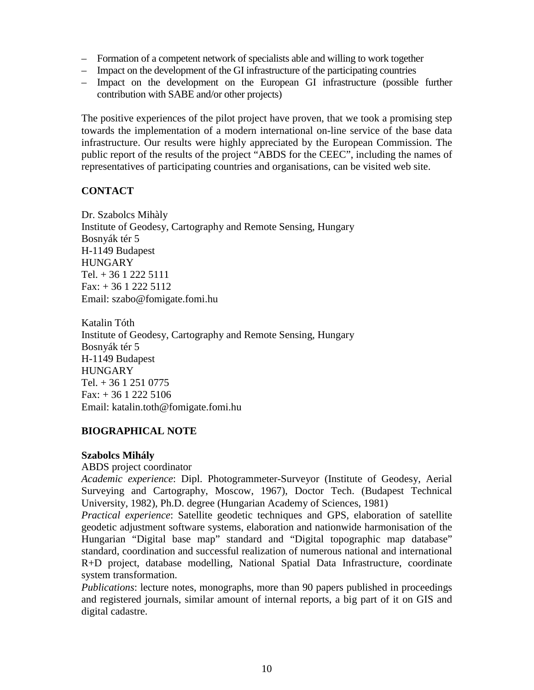- Formation of a competent network of specialists able and willing to work together
- Impact on the development of the GI infrastructure of the participating countries
- Impact on the development on the European GI infrastructure (possible further contribution with SABE and/or other projects)

The positive experiences of the pilot project have proven, that we took a promising step towards the implementation of a modern international on-line service of the base data infrastructure. Our results were highly appreciated by the European Commission. The public report of the results of the project "ABDS for the CEEC", including the names of representatives of participating countries and organisations, can be visited web site.

#### **CONTACT**

Dr. Szabolcs Mihàly Institute of Geodesy, Cartography and Remote Sensing, Hungary Bosnyák tér 5 H-1149 Budapest **HUNGARY** Tel. + 36 1 222 5111 Fax: + 36 1 222 5112 Email: szabo@fomigate.fomi.hu

Katalin Tóth Institute of Geodesy, Cartography and Remote Sensing, Hungary Bosnyák tér 5 H-1149 Budapest **HUNGARY** Tel. + 36 1 251 0775 Fax:  $+3612225106$ Email: katalin.toth@fomigate.fomi.hu

### **BIOGRAPHICAL NOTE**

#### **Szabolcs Mihály**

ABDS project coordinator

*Academic experience*: Dipl. Photogrammeter-Surveyor (Institute of Geodesy, Aerial Surveying and Cartography, Moscow, 1967), Doctor Tech. (Budapest Technical University, 1982), Ph.D. degree (Hungarian Academy of Sciences, 1981)

*Practical experience*: Satellite geodetic techniques and GPS, elaboration of satellite geodetic adjustment software systems, elaboration and nationwide harmonisation of the Hungarian "Digital base map" standard and "Digital topographic map database" standard, coordination and successful realization of numerous national and international R+D project, database modelling, National Spatial Data Infrastructure, coordinate system transformation.

*Publications*: lecture notes, monographs, more than 90 papers published in proceedings and registered journals, similar amount of internal reports, a big part of it on GIS and digital cadastre.